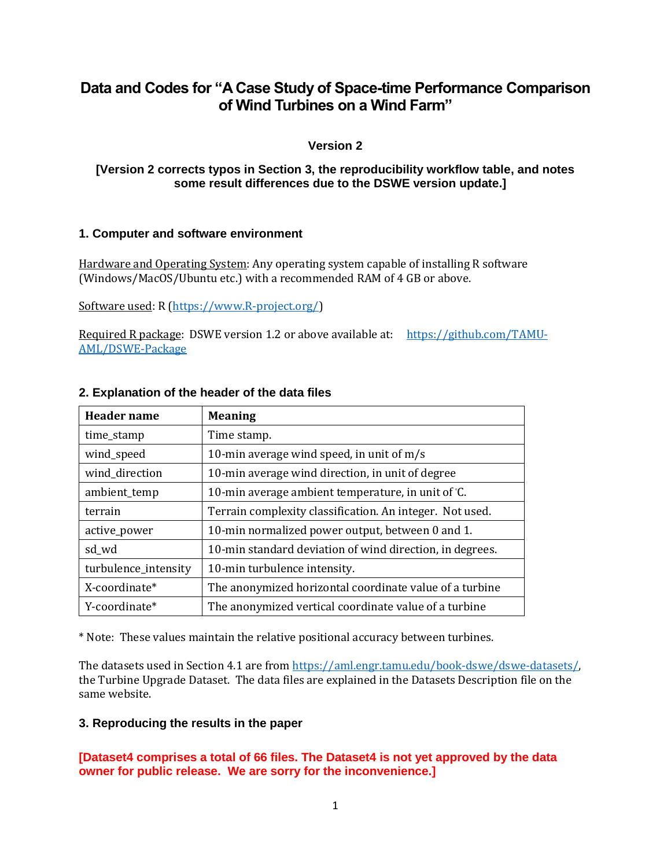# **Data and Codes for "A Case Study of Space-time Performance Comparison of Wind Turbines on a Wind Farm"**

## **Version 2**

### **[Version 2 corrects typos in Section 3, the reproducibility workflow table, and notes some result differences due to the DSWE version update.]**

### **1. Computer and software environment**

Hardware and Operating System: Any operating system capable of installing R software (Windows/MacOS/Ubuntu etc.) with a recommended RAM of 4 GB or above.

Software used: R [\(https://www.R-project.org/\)](https://www.r-project.org/)

Required R package: DSWE version 1.2 or above available at: [https://github.com/TAMU-](https://github.com/TAMU-AML/DSWE-Package)[AML/DSWE-Package](https://github.com/TAMU-AML/DSWE-Package)

| <b>Header</b> name   | <b>Meaning</b>                                           |
|----------------------|----------------------------------------------------------|
| time_stamp           | Time stamp.                                              |
| wind_speed           | 10-min average wind speed, in unit of $m/s$              |
| wind direction       | 10-min average wind direction, in unit of degree         |
| ambient_temp         | 10-min average ambient temperature, in unit of °C.       |
| terrain              | Terrain complexity classification. An integer. Not used. |
| active_power         | 10-min normalized power output, between 0 and 1.         |
| sd_wd                | 10-min standard deviation of wind direction, in degrees. |
| turbulence_intensity | 10-min turbulence intensity.                             |
| X-coordinate*        | The anonymized horizontal coordinate value of a turbine  |
| Y-coordinate*        | The anonymized vertical coordinate value of a turbine    |

### **2. Explanation of the header of the data files**

\* Note: These values maintain the relative positional accuracy between turbines.

The datasets used in Section 4.1 are from https://aml.engr.tamu.edu/book-dswe/dswe-datasets/ the Turbine Upgrade Dataset. The data files are explained in the Datasets Description file on the same website.

### **3. Reproducing the results in the paper**

## **[Dataset4 comprises a total of 66 files. The Dataset4 is not yet approved by the data owner for public release. We are sorry for the inconvenience.]**